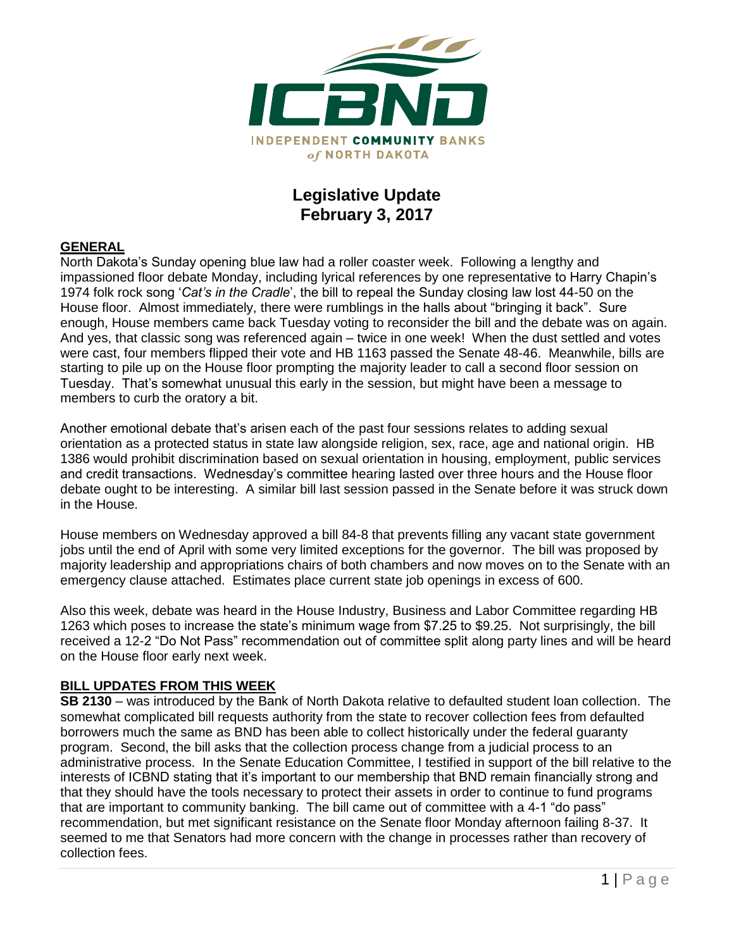

# **Legislative Update February 3, 2017**

### **GENERAL**

North Dakota's Sunday opening blue law had a roller coaster week. Following a lengthy and impassioned floor debate Monday, including lyrical references by one representative to Harry Chapin's 1974 folk rock song '*Cat's in the Cradle*', the bill to repeal the Sunday closing law lost 44-50 on the House floor. Almost immediately, there were rumblings in the halls about "bringing it back". Sure enough, House members came back Tuesday voting to reconsider the bill and the debate was on again. And yes, that classic song was referenced again – twice in one week! When the dust settled and votes were cast, four members flipped their vote and HB 1163 passed the Senate 48-46. Meanwhile, bills are starting to pile up on the House floor prompting the majority leader to call a second floor session on Tuesday. That's somewhat unusual this early in the session, but might have been a message to members to curb the oratory a bit.

Another emotional debate that's arisen each of the past four sessions relates to adding sexual orientation as a protected status in state law alongside religion, sex, race, age and national origin. HB 1386 would prohibit discrimination based on sexual orientation in housing, employment, public services and credit transactions. Wednesday's committee hearing lasted over three hours and the House floor debate ought to be interesting. A similar bill last session passed in the Senate before it was struck down in the House.

House members on Wednesday approved a bill 84-8 that prevents filling any vacant state government jobs until the end of April with some very limited exceptions for the governor. The bill was proposed by majority leadership and appropriations chairs of both chambers and now moves on to the Senate with an emergency clause attached. Estimates place current state job openings in excess of 600.

Also this week, debate was heard in the House Industry, Business and Labor Committee regarding HB 1263 which poses to increase the state's minimum wage from \$7.25 to \$9.25. Not surprisingly, the bill received a 12-2 "Do Not Pass" recommendation out of committee split along party lines and will be heard on the House floor early next week.

#### **BILL UPDATES FROM THIS WEEK**

**SB 2130** – was introduced by the Bank of North Dakota relative to defaulted student loan collection. The somewhat complicated bill requests authority from the state to recover collection fees from defaulted borrowers much the same as BND has been able to collect historically under the federal guaranty program. Second, the bill asks that the collection process change from a judicial process to an administrative process. In the Senate Education Committee, I testified in support of the bill relative to the interests of ICBND stating that it's important to our membership that BND remain financially strong and that they should have the tools necessary to protect their assets in order to continue to fund programs that are important to community banking. The bill came out of committee with a 4-1 "do pass" recommendation, but met significant resistance on the Senate floor Monday afternoon failing 8-37. It seemed to me that Senators had more concern with the change in processes rather than recovery of collection fees.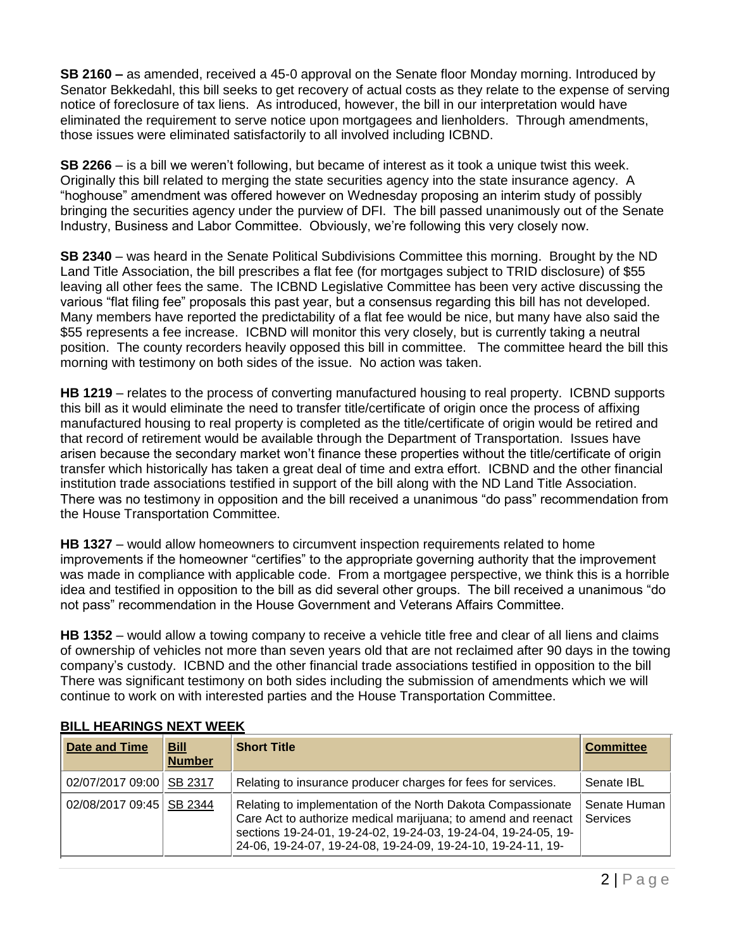**SB 2160 –** as amended, received a 45-0 approval on the Senate floor Monday morning. Introduced by Senator Bekkedahl, this bill seeks to get recovery of actual costs as they relate to the expense of serving notice of foreclosure of tax liens. As introduced, however, the bill in our interpretation would have eliminated the requirement to serve notice upon mortgagees and lienholders. Through amendments, those issues were eliminated satisfactorily to all involved including ICBND.

**SB 2266** – is a bill we weren't following, but became of interest as it took a unique twist this week. Originally this bill related to merging the state securities agency into the state insurance agency. A "hoghouse" amendment was offered however on Wednesday proposing an interim study of possibly bringing the securities agency under the purview of DFI. The bill passed unanimously out of the Senate Industry, Business and Labor Committee. Obviously, we're following this very closely now.

**SB 2340** – was heard in the Senate Political Subdivisions Committee this morning. Brought by the ND Land Title Association, the bill prescribes a flat fee (for mortgages subject to TRID disclosure) of \$55 leaving all other fees the same. The ICBND Legislative Committee has been very active discussing the various "flat filing fee" proposals this past year, but a consensus regarding this bill has not developed. Many members have reported the predictability of a flat fee would be nice, but many have also said the \$55 represents a fee increase. ICBND will monitor this very closely, but is currently taking a neutral position. The county recorders heavily opposed this bill in committee. The committee heard the bill this morning with testimony on both sides of the issue. No action was taken.

**HB 1219** – relates to the process of converting manufactured housing to real property. ICBND supports this bill as it would eliminate the need to transfer title/certificate of origin once the process of affixing manufactured housing to real property is completed as the title/certificate of origin would be retired and that record of retirement would be available through the Department of Transportation. Issues have arisen because the secondary market won't finance these properties without the title/certificate of origin transfer which historically has taken a great deal of time and extra effort. ICBND and the other financial institution trade associations testified in support of the bill along with the ND Land Title Association. There was no testimony in opposition and the bill received a unanimous "do pass" recommendation from the House Transportation Committee.

**HB 1327** – would allow homeowners to circumvent inspection requirements related to home improvements if the homeowner "certifies" to the appropriate governing authority that the improvement was made in compliance with applicable code. From a mortgagee perspective, we think this is a horrible idea and testified in opposition to the bill as did several other groups. The bill received a unanimous "do not pass" recommendation in the House Government and Veterans Affairs Committee.

**HB 1352** – would allow a towing company to receive a vehicle title free and clear of all liens and claims of ownership of vehicles not more than seven years old that are not reclaimed after 90 days in the towing company's custody. ICBND and the other financial trade associations testified in opposition to the bill There was significant testimony on both sides including the submission of amendments which we will continue to work on with interested parties and the House Transportation Committee.

| <b>Date and Time</b>       | <b>Bill</b><br><b>Number</b> | <b>Short Title</b>                                                                                                                                                                                                                                              | <b>Committee</b>                |
|----------------------------|------------------------------|-----------------------------------------------------------------------------------------------------------------------------------------------------------------------------------------------------------------------------------------------------------------|---------------------------------|
| 02/07/2017 09:00 SB 2317   |                              | Relating to insurance producer charges for fees for services.                                                                                                                                                                                                   | Senate IBL                      |
| 02/08/2017 09:45   SB 2344 |                              | Relating to implementation of the North Dakota Compassionate<br>Care Act to authorize medical marijuana; to amend and reenact<br>sections 19-24-01, 19-24-02, 19-24-03, 19-24-04, 19-24-05, 19-<br>24-06, 19-24-07, 19-24-08, 19-24-09, 19-24-10, 19-24-11, 19- | Senate Human<br><b>Services</b> |

## **BILL HEARINGS NEXT WEEK**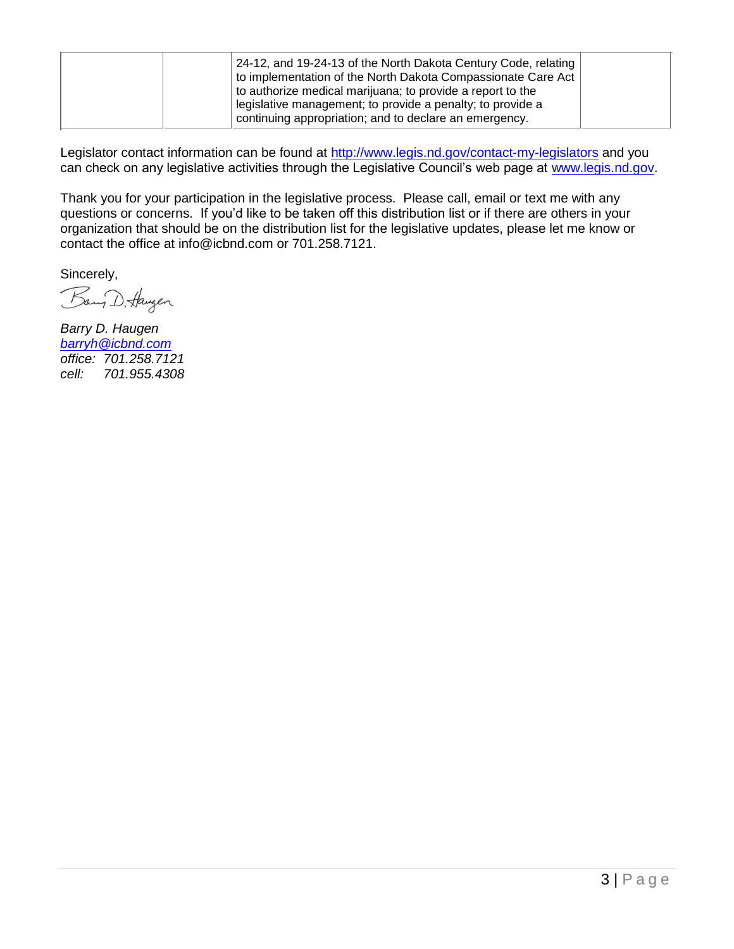| 24-12, and 19-24-13 of the North Dakota Century Code, relating<br>to implementation of the North Dakota Compassionate Care Act<br>to authorize medical marijuana; to provide a report to the<br>legislative management; to provide a penalty; to provide a |  |
|------------------------------------------------------------------------------------------------------------------------------------------------------------------------------------------------------------------------------------------------------------|--|
| continuing appropriation; and to declare an emergency.                                                                                                                                                                                                     |  |

Legislator contact information can be found at<http://www.legis.nd.gov/contact-my-legislators> and you can check on any legislative activities through the Legislative Council's web page at [www.legis.nd.gov.](http://www.legis.nd.gov/)

Thank you for your participation in the legislative process. Please call, email or text me with any questions or concerns. If you'd like to be taken off this distribution list or if there are others in your organization that should be on the distribution list for the legislative updates, please let me know or contact the office at [info@icbnd.com](mailto:info@icbnd.com) or 701.258.7121.

Sincerely,

Bang D. Haugen

*Barry D. Haugen [barryh@icbnd.com](mailto:barryh@icbnd.com) office: 701.258.7121 cell: 701.955.4308*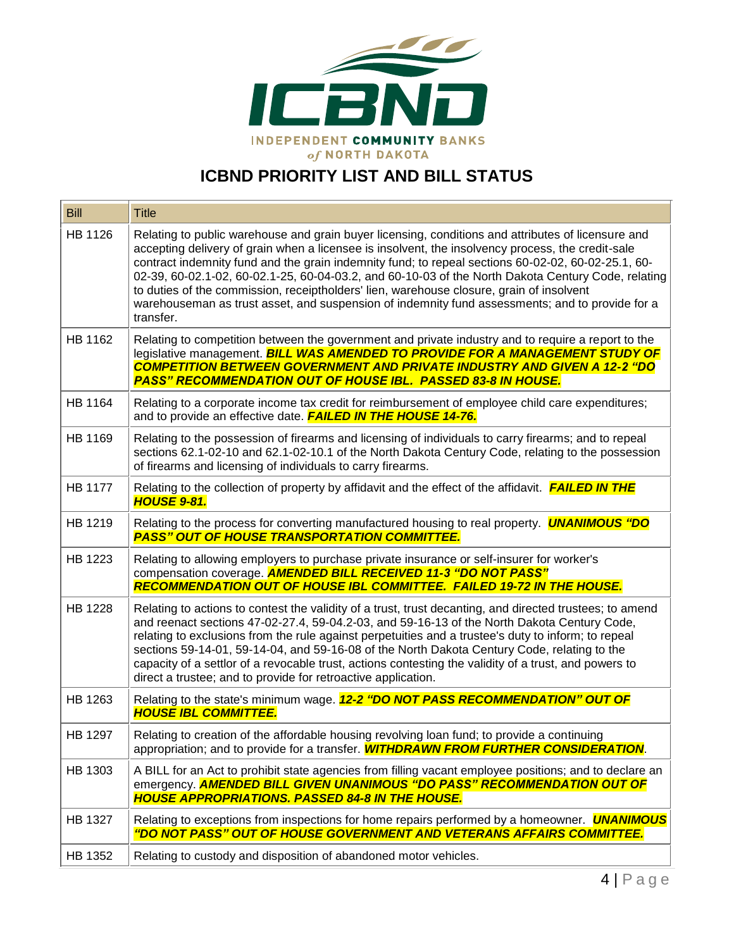

# **ICBND PRIORITY LIST AND BILL STATUS**

| <b>Bill</b>    | <b>Title</b>                                                                                                                                                                                                                                                                                                                                                                                                                                                                                                                                                                                                                    |
|----------------|---------------------------------------------------------------------------------------------------------------------------------------------------------------------------------------------------------------------------------------------------------------------------------------------------------------------------------------------------------------------------------------------------------------------------------------------------------------------------------------------------------------------------------------------------------------------------------------------------------------------------------|
| HB 1126        | Relating to public warehouse and grain buyer licensing, conditions and attributes of licensure and<br>accepting delivery of grain when a licensee is insolvent, the insolvency process, the credit-sale<br>contract indemnity fund and the grain indemnity fund; to repeal sections 60-02-02, 60-02-25.1, 60-<br>02-39, 60-02.1-02, 60-02.1-25, 60-04-03.2, and 60-10-03 of the North Dakota Century Code, relating<br>to duties of the commission, receiptholders' lien, warehouse closure, grain of insolvent<br>warehouseman as trust asset, and suspension of indemnity fund assessments; and to provide for a<br>transfer. |
| HB 1162        | Relating to competition between the government and private industry and to require a report to the<br>legislative management. <b>BILL WAS AMENDED TO PROVIDE FOR A MANAGEMENT STUDY OF</b><br><b>COMPETITION BETWEEN GOVERNMENT AND PRIVATE INDUSTRY AND GIVEN A 12-2 "DO</b><br><b>PASS" RECOMMENDATION OUT OF HOUSE IBL. PASSED 83-8 IN HOUSE.</b>                                                                                                                                                                                                                                                                            |
| HB 1164        | Relating to a corporate income tax credit for reimbursement of employee child care expenditures;<br>and to provide an effective date. <b>FAILED IN THE HOUSE 14-76.</b>                                                                                                                                                                                                                                                                                                                                                                                                                                                         |
| HB 1169        | Relating to the possession of firearms and licensing of individuals to carry firearms; and to repeal<br>sections 62.1-02-10 and 62.1-02-10.1 of the North Dakota Century Code, relating to the possession<br>of firearms and licensing of individuals to carry firearms.                                                                                                                                                                                                                                                                                                                                                        |
| <b>HB 1177</b> | Relating to the collection of property by affidavit and the effect of the affidavit. <b>FAILED IN THE</b><br><b>HOUSE 9-81.</b>                                                                                                                                                                                                                                                                                                                                                                                                                                                                                                 |
| HB 1219        | Relating to the process for converting manufactured housing to real property. <b>UNANIMOUS "DO</b><br><b>PASS" OUT OF HOUSE TRANSPORTATION COMMITTEE.</b>                                                                                                                                                                                                                                                                                                                                                                                                                                                                       |
| HB 1223        | Relating to allowing employers to purchase private insurance or self-insurer for worker's<br>compensation coverage. <b>AMENDED BILL RECEIVED 11-3 "DO NOT PASS"</b><br><b>RECOMMENDATION OUT OF HOUSE IBL COMMITTEE. FAILED 19-72 IN THE HOUSE.</b>                                                                                                                                                                                                                                                                                                                                                                             |
| <b>HB 1228</b> | Relating to actions to contest the validity of a trust, trust decanting, and directed trustees; to amend<br>and reenact sections 47-02-27.4, 59-04.2-03, and 59-16-13 of the North Dakota Century Code,<br>relating to exclusions from the rule against perpetuities and a trustee's duty to inform; to repeal<br>sections 59-14-01, 59-14-04, and 59-16-08 of the North Dakota Century Code, relating to the<br>capacity of a settlor of a revocable trust, actions contesting the validity of a trust, and powers to<br>direct a trustee; and to provide for retroactive application.                                         |
| HB 1263        | Relating to the state's minimum wage. 12-2 "DO NOT PASS RECOMMENDATION" OUT OF<br><b>HOUSE IBL COMMITTEE.</b>                                                                                                                                                                                                                                                                                                                                                                                                                                                                                                                   |
| HB 1297        | Relating to creation of the affordable housing revolving loan fund; to provide a continuing<br>appropriation; and to provide for a transfer. <b>WITHDRAWN FROM FURTHER CONSIDERATION</b> .                                                                                                                                                                                                                                                                                                                                                                                                                                      |
| HB 1303        | A BILL for an Act to prohibit state agencies from filling vacant employee positions; and to declare an<br>emergency. AMENDED BILL GIVEN UNANIMOUS "DO PASS" RECOMMENDATION OUT OF<br><b>HOUSE APPROPRIATIONS. PASSED 84-8 IN THE HOUSE.</b>                                                                                                                                                                                                                                                                                                                                                                                     |
| HB 1327        | Relating to exceptions from inspections for home repairs performed by a homeowner. <b>UNANIMOUS</b><br>"DO NOT PASS" OUT OF HOUSE GOVERNMENT AND VETERANS AFFAIRS COMMITTEE.                                                                                                                                                                                                                                                                                                                                                                                                                                                    |
| HB 1352        | Relating to custody and disposition of abandoned motor vehicles.                                                                                                                                                                                                                                                                                                                                                                                                                                                                                                                                                                |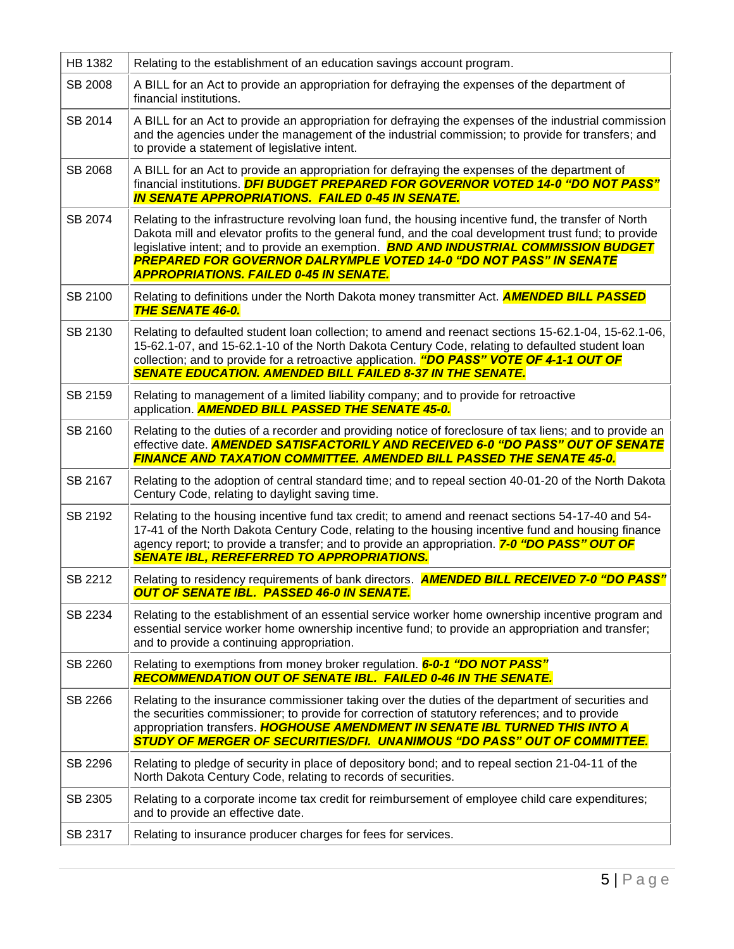| <b>HB 1382</b> | Relating to the establishment of an education savings account program.                                                                                                                                                                                                                                                                                                                                                                       |
|----------------|----------------------------------------------------------------------------------------------------------------------------------------------------------------------------------------------------------------------------------------------------------------------------------------------------------------------------------------------------------------------------------------------------------------------------------------------|
| SB 2008        | A BILL for an Act to provide an appropriation for defraying the expenses of the department of<br>financial institutions.                                                                                                                                                                                                                                                                                                                     |
| SB 2014        | A BILL for an Act to provide an appropriation for defraying the expenses of the industrial commission<br>and the agencies under the management of the industrial commission; to provide for transfers; and<br>to provide a statement of legislative intent.                                                                                                                                                                                  |
| SB 2068        | A BILL for an Act to provide an appropriation for defraying the expenses of the department of<br>financial institutions. DFI BUDGET PREPARED FOR GOVERNOR VOTED 14-0 "DO NOT PASS"<br><b>IN SENATE APPROPRIATIONS. FAILED 0-45 IN SENATE.</b>                                                                                                                                                                                                |
| SB 2074        | Relating to the infrastructure revolving loan fund, the housing incentive fund, the transfer of North<br>Dakota mill and elevator profits to the general fund, and the coal development trust fund; to provide<br>legislative intent; and to provide an exemption. <b>BND AND INDUSTRIAL COMMISSION BUDGET</b><br><b>PREPARED FOR GOVERNOR DALRYMPLE VOTED 14-0 "DO NOT PASS" IN SENATE</b><br><b>APPROPRIATIONS. FAILED 0-45 IN SENATE.</b> |
| SB 2100        | Relating to definitions under the North Dakota money transmitter Act. <b>AMENDED BILL PASSED</b><br><b>THE SENATE 46-0.</b>                                                                                                                                                                                                                                                                                                                  |
| SB 2130        | Relating to defaulted student loan collection; to amend and reenact sections 15-62.1-04, 15-62.1-06,<br>15-62.1-07, and 15-62.1-10 of the North Dakota Century Code, relating to defaulted student loan<br>collection; and to provide for a retroactive application. "DO PASS" VOTE OF 4-1-1 OUT OF<br><b>SENATE EDUCATION, AMENDED BILL FAILED 8-37 IN THE SENATE.</b>                                                                      |
| SB 2159        | Relating to management of a limited liability company; and to provide for retroactive<br>application. <b>AMENDED BILL PASSED THE SENATE 45-0.</b>                                                                                                                                                                                                                                                                                            |
| SB 2160        | Relating to the duties of a recorder and providing notice of foreclosure of tax liens; and to provide an<br>effective date. <b>AMENDED SATISFACTORILY AND RECEIVED 6-0 "DO PASS" OUT OF SENATE</b><br><b>FINANCE AND TAXATION COMMITTEE. AMENDED BILL PASSED THE SENATE 45-0.</b>                                                                                                                                                            |
| SB 2167        | Relating to the adoption of central standard time; and to repeal section 40-01-20 of the North Dakota<br>Century Code, relating to daylight saving time.                                                                                                                                                                                                                                                                                     |
| SB 2192        | Relating to the housing incentive fund tax credit; to amend and reenact sections 54-17-40 and 54-<br>17-41 of the North Dakota Century Code, relating to the housing incentive fund and housing finance<br>agency report; to provide a transfer; and to provide an appropriation. <b>7-0 "DO PASS" OUT OF</b><br><b>SENATE IBL, REREFERRED TO APPROPRIATIONS.</b>                                                                            |
| SB 2212        | Relating to residency requirements of bank directors. <b>AMENDED BILL RECEIVED 7-0 "DO PASS"</b><br><b>OUT OF SENATE IBL. PASSED 46-0 IN SENATE.</b>                                                                                                                                                                                                                                                                                         |
| SB 2234        | Relating to the establishment of an essential service worker home ownership incentive program and<br>essential service worker home ownership incentive fund; to provide an appropriation and transfer;<br>and to provide a continuing appropriation.                                                                                                                                                                                         |
| SB 2260        | Relating to exemptions from money broker regulation. 6-0-1 "DO NOT PASS"<br><b>RECOMMENDATION OUT OF SENATE IBL. FAILED 0-46 IN THE SENATE.</b>                                                                                                                                                                                                                                                                                              |
| SB 2266        | Relating to the insurance commissioner taking over the duties of the department of securities and<br>the securities commissioner; to provide for correction of statutory references; and to provide<br>appropriation transfers. HOGHOUSE AMENDMENT IN SENATE IBL TURNED THIS INTO A<br><b>STUDY OF MERGER OF SECURITIES/DFI. UNANIMOUS "DO PASS" OUT OF COMMITTEE.</b>                                                                       |
| SB 2296        | Relating to pledge of security in place of depository bond; and to repeal section 21-04-11 of the<br>North Dakota Century Code, relating to records of securities.                                                                                                                                                                                                                                                                           |
| SB 2305        | Relating to a corporate income tax credit for reimbursement of employee child care expenditures;<br>and to provide an effective date.                                                                                                                                                                                                                                                                                                        |
| SB 2317        | Relating to insurance producer charges for fees for services.                                                                                                                                                                                                                                                                                                                                                                                |